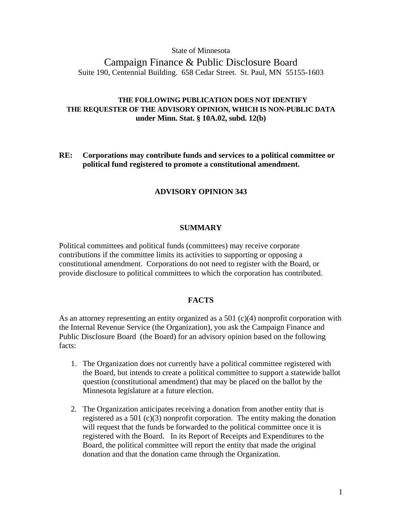State of Minnesota

Campaign Finance & Public Disclosure Board Suite 190, Centennial Building. 658 Cedar Street. St. Paul, MN 55155-1603

## **THE FOLLOWING PUBLICATION DOES NOT IDENTIFY THE REQUESTER OF THE ADVISORY OPINION, WHICH IS NON-PUBLIC DATA under Minn. Stat. § 10A.02, subd. 12(b)**

**RE: Corporations may contribute funds and services to a political committee or political fund registered to promote a constitutional amendment.**

## **ADVISORY OPINION 343**

#### **SUMMARY**

Political committees and political funds (committees) may receive corporate contributions if the committee limits its activities to supporting or opposing a constitutional amendment. Corporations do not need to register with the Board, or provide disclosure to political committees to which the corporation has contributed.

#### **FACTS**

As an attorney representing an entity organized as a 501  $(c)(4)$  nonprofit corporation with the Internal Revenue Service (the Organization), you ask the Campaign Finance and Public Disclosure Board (the Board) for an advisory opinion based on the following facts:

- 1. The Organization does not currently have a political committee registered with the Board, but intends to create a political committee to support a statewide ballot question (constitutional amendment) that may be placed on the ballot by the Minnesota legislature at a future election.
- 2. The Organization anticipates receiving a donation from another entity that is registered as a 501 (c)(3) nonprofit corporation. The entity making the donation will request that the funds be forwarded to the political committee once it is registered with the Board. In its Report of Receipts and Expenditures to the Board, the political committee will report the entity that made the original donation and that the donation came through the Organization.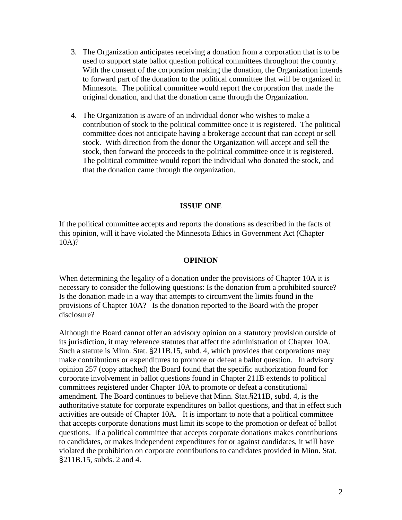- 3. The Organization anticipates receiving a donation from a corporation that is to be used to support state ballot question political committees throughout the country. With the consent of the corporation making the donation, the Organization intends to forward part of the donation to the political committee that will be organized in Minnesota. The political committee would report the corporation that made the original donation, and that the donation came through the Organization.
- 4. The Organization is aware of an individual donor who wishes to make a contribution of stock to the political committee once it is registered. The political committee does not anticipate having a brokerage account that can accept or sell stock. With direction from the donor the Organization will accept and sell the stock, then forward the proceeds to the political committee once it is registered. The political committee would report the individual who donated the stock, and that the donation came through the organization.

### **ISSUE ONE**

If the political committee accepts and reports the donations as described in the facts of this opinion, will it have violated the Minnesota Ethics in Government Act (Chapter 10A)?

#### **OPINION**

When determining the legality of a donation under the provisions of Chapter 10A it is necessary to consider the following questions: Is the donation from a prohibited source? Is the donation made in a way that attempts to circumvent the limits found in the provisions of Chapter 10A? Is the donation reported to the Board with the proper disclosure?

Although the Board cannot offer an advisory opinion on a statutory provision outside of its jurisdiction, it may reference statutes that affect the administration of Chapter 10A. Such a statute is Minn. Stat. §211B.15, subd. 4, which provides that corporations may make contributions or expenditures to promote or defeat a ballot question. In advisory opinion 257 (copy attached) the Board found that the specific authorization found for corporate involvement in ballot questions found in Chapter 211B extends to political committees registered under Chapter 10A to promote or defeat a constitutional amendment. The Board continues to believe that Minn. Stat.§211B, subd. 4, is the authoritative statute for corporate expenditures on ballot questions, and that in effect such activities are outside of Chapter 10A. It is important to note that a political committee that accepts corporate donations must limit its scope to the promotion or defeat of ballot questions. If a political committee that accepts corporate donations makes contributions to candidates, or makes independent expenditures for or against candidates, it will have violated the prohibition on corporate contributions to candidates provided in Minn. Stat. §211B.15, subds. 2 and 4.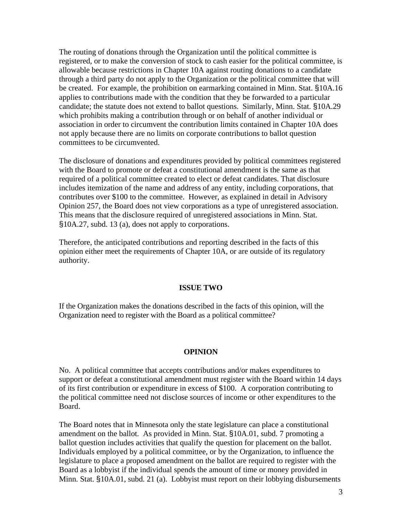The routing of donations through the Organization until the political committee is registered, or to make the conversion of stock to cash easier for the political committee, is allowable because restrictions in Chapter 10A against routing donations to a candidate through a third party do not apply to the Organization or the political committee that will be created. For example, the prohibition on earmarking contained in Minn. Stat. §10A.16 applies to contributions made with the condition that they be forwarded to a particular candidate; the statute does not extend to ballot questions. Similarly, Minn. Stat. §10A.29 which prohibits making a contribution through or on behalf of another individual or association in order to circumvent the contribution limits contained in Chapter 10A does not apply because there are no limits on corporate contributions to ballot question committees to be circumvented.

The disclosure of donations and expenditures provided by political committees registered with the Board to promote or defeat a constitutional amendment is the same as that required of a political committee created to elect or defeat candidates. That disclosure includes itemization of the name and address of any entity, including corporations, that contributes over \$100 to the committee. However, as explained in detail in Advisory Opinion 257, the Board does not view corporations as a type of unregistered association. This means that the disclosure required of unregistered associations in Minn. Stat. §10A.27, subd. 13 (a), does not apply to corporations.

Therefore, the anticipated contributions and reporting described in the facts of this opinion either meet the requirements of Chapter 10A, or are outside of its regulatory authority.

#### **ISSUE TWO**

If the Organization makes the donations described in the facts of this opinion, will the Organization need to register with the Board as a political committee?

#### **OPINION**

No. A political committee that accepts contributions and/or makes expenditures to support or defeat a constitutional amendment must register with the Board within 14 days of its first contribution or expenditure in excess of \$100. A corporation contributing to the political committee need not disclose sources of income or other expenditures to the Board.

The Board notes that in Minnesota only the state legislature can place a constitutional amendment on the ballot. As provided in Minn. Stat. §10A.01, subd. 7 promoting a ballot question includes activities that qualify the question for placement on the ballot. Individuals employed by a political committee, or by the Organization, to influence the legislature to place a proposed amendment on the ballot are required to register with the Board as a lobbyist if the individual spends the amount of time or money provided in Minn. Stat. §10A.01, subd. 21 (a). Lobbyist must report on their lobbying disbursements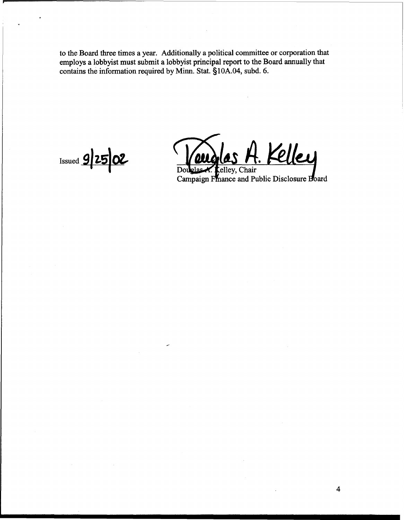**to the Board three times a year. Additionally a political committee or corporation that employs a lobbyist must submit a lobbyist principal report to the Board annually that**  contains the information required by Minn. Stat. §10A.04, subd. 6.

*<u>Issued 9 25 02</u>* 

Kelley **OLI** عمك

celley, Chair Dou Campaign Finance and Public Disclosure Board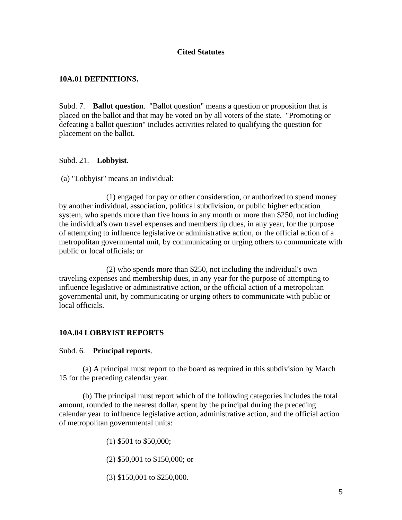## **Cited Statutes**

## **10A.01 DEFINITIONS.**

Subd. 7. **Ballot question**. "Ballot question" means a question or proposition that is placed on the ballot and that may be voted on by all voters of the state. "Promoting or defeating a ballot question" includes activities related to qualifying the question for placement on the ballot.

## Subd. 21. **Lobbyist**.

(a) "Lobbyist" means an individual:

 (1) engaged for pay or other consideration, or authorized to spend money by another individual, association, political subdivision, or public higher education system, who spends more than five hours in any month or more than \$250, not including the individual's own travel expenses and membership dues, in any year, for the purpose of attempting to influence legislative or administrative action, or the official action of a metropolitan governmental unit, by communicating or urging others to communicate with public or local officials; or

 (2) who spends more than \$250, not including the individual's own traveling expenses and membership dues, in any year for the purpose of attempting to influence legislative or administrative action, or the official action of a metropolitan governmental unit, by communicating or urging others to communicate with public or local officials.

## **10A.04 LOBBYIST REPORTS**

## Subd. 6. **Principal reports**.

 (a) A principal must report to the board as required in this subdivision by March 15 for the preceding calendar year.

 (b) The principal must report which of the following categories includes the total amount, rounded to the nearest dollar, spent by the principal during the preceding calendar year to influence legislative action, administrative action, and the official action of metropolitan governmental units:

(1) \$501 to \$50,000;

(2) \$50,001 to \$150,000; or

(3) \$150,001 to \$250,000.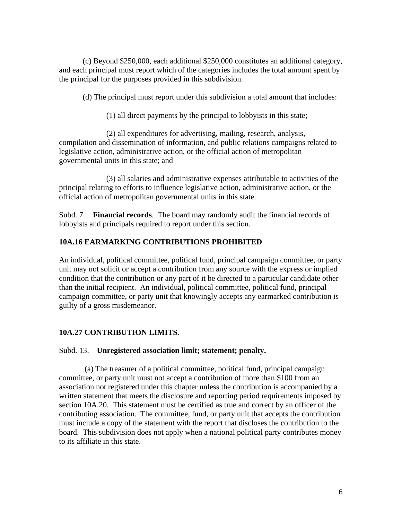(c) Beyond \$250,000, each additional \$250,000 constitutes an additional category, and each principal must report which of the categories includes the total amount spent by the principal for the purposes provided in this subdivision.

(d) The principal must report under this subdivision a total amount that includes:

(1) all direct payments by the principal to lobbyists in this state;

 (2) all expenditures for advertising, mailing, research, analysis, compilation and dissemination of information, and public relations campaigns related to legislative action, administrative action, or the official action of metropolitan governmental units in this state; and

 (3) all salaries and administrative expenses attributable to activities of the principal relating to efforts to influence legislative action, administrative action, or the official action of metropolitan governmental units in this state.

Subd. 7. **Financial records**. The board may randomly audit the financial records of lobbyists and principals required to report under this section.

# **10A.16 EARMARKING CONTRIBUTIONS PROHIBITED**

An individual, political committee, political fund, principal campaign committee, or party unit may not solicit or accept a contribution from any source with the express or implied condition that the contribution or any part of it be directed to a particular candidate other than the initial recipient. An individual, political committee, political fund, principal campaign committee, or party unit that knowingly accepts any earmarked contribution is guilty of a gross misdemeanor.

# **10A.27 CONTRIBUTION LIMITS**.

## Subd. 13. **Unregistered association limit; statement; penalty.**

(a) The treasurer of a political committee, political fund, principal campaign committee, or party unit must not accept a contribution of more than \$100 from an association not registered under this chapter unless the contribution is accompanied by a written statement that meets the disclosure and reporting period requirements imposed by section 10A.20. This statement must be certified as true and correct by an officer of the contributing association. The committee, fund, or party unit that accepts the contribution must include a copy of the statement with the report that discloses the contribution to the board. This subdivision does not apply when a national political party contributes money to its affiliate in this state.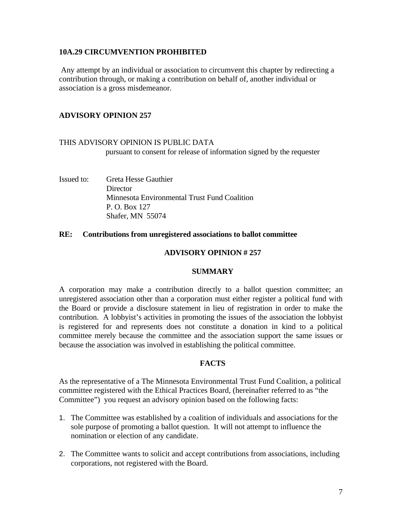## **10A.29 CIRCUMVENTION PROHIBITED**

 Any attempt by an individual or association to circumvent this chapter by redirecting a contribution through, or making a contribution on behalf of, another individual or association is a gross misdemeanor.

## **ADVISORY OPINION 257**

THIS ADVISORY OPINION IS PUBLIC DATA pursuant to consent for release of information signed by the requester

Issued to: Greta Hesse Gauthier **Director**  Minnesota Environmental Trust Fund Coalition P. O. Box 127 Shafer, MN 55074

#### **RE: Contributions from unregistered associations to ballot committee**

#### **ADVISORY OPINION # 257**

### **SUMMARY**

A corporation may make a contribution directly to a ballot question committee; an unregistered association other than a corporation must either register a political fund with the Board or provide a disclosure statement in lieu of registration in order to make the contribution. A lobbyist's activities in promoting the issues of the association the lobbyist is registered for and represents does not constitute a donation in kind to a political committee merely because the committee and the association support the same issues or because the association was involved in establishing the political committee.

#### **FACTS**

As the representative of a The Minnesota Environmental Trust Fund Coalition, a political committee registered with the Ethical Practices Board, (hereinafter referred to as "the Committee") you request an advisory opinion based on the following facts:

- 1. The Committee was established by a coalition of individuals and associations for the sole purpose of promoting a ballot question. It will not attempt to influence the nomination or election of any candidate.
- 2. The Committee wants to solicit and accept contributions from associations, including corporations, not registered with the Board.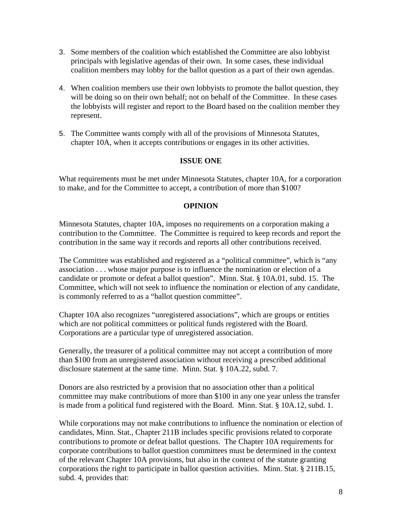- 3. Some members of the coalition which established the Committee are also lobbyist principals with legislative agendas of their own. In some cases, these individual coalition members may lobby for the ballot question as a part of their own agendas.
- 4. When coalition members use their own lobbyists to promote the ballot question, they will be doing so on their own behalf; not on behalf of the Committee. In these cases the lobbyists will register and report to the Board based on the coalition member they represent.
- 5. The Committee wants comply with all of the provisions of Minnesota Statutes, chapter 10A, when it accepts contributions or engages in its other activities.

## **ISSUE ONE**

What requirements must be met under Minnesota Statutes, chapter 10A, for a corporation to make, and for the Committee to accept, a contribution of more than \$100?

## **OPINION**

Minnesota Statutes, chapter 10A, imposes no requirements on a corporation making a contribution to the Committee. The Committee is required to keep records and report the contribution in the same way it records and reports all other contributions received.

The Committee was established and registered as a "political committee", which is "any association . . . whose major purpose is to influence the nomination or election of a candidate or promote or defeat a ballot question". Minn. Stat. § 10A.01, subd. 15. The Committee, which will not seek to influence the nomination or election of any candidate, is commonly referred to as a "ballot question committee".

Chapter 10A also recognizes "unregistered associations", which are groups or entities which are not political committees or political funds registered with the Board. Corporations are a particular type of unregistered association.

Generally, the treasurer of a political committee may not accept a contribution of more than \$100 from an unregistered association without receiving a prescribed additional disclosure statement at the same time. Minn. Stat. § 10A.22, subd. 7.

Donors are also restricted by a provision that no association other than a political committee may make contributions of more than \$100 in any one year unless the transfer is made from a political fund registered with the Board. Minn. Stat. § 10A.12, subd. 1.

While corporations may not make contributions to influence the nomination or election of candidates, Minn. Stat., Chapter 211B includes specific provisions related to corporate contributions to promote or defeat ballot questions. The Chapter 10A requirements for corporate contributions to ballot question committees must be determined in the context of the relevant Chapter 10A provisions, but also in the context of the statute granting corporations the right to participate in ballot question activities. Minn. Stat. § 211B.15, subd. 4, provides that: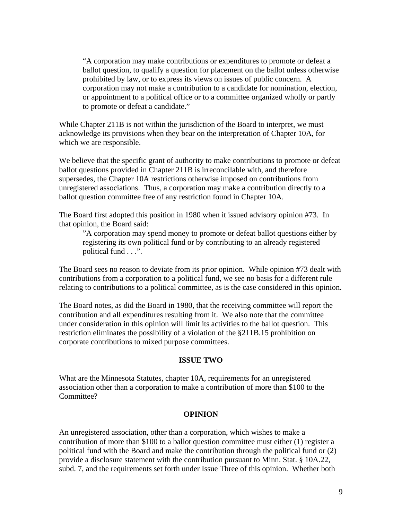"A corporation may make contributions or expenditures to promote or defeat a ballot question, to qualify a question for placement on the ballot unless otherwise prohibited by law, or to express its views on issues of public concern. A corporation may not make a contribution to a candidate for nomination, election, or appointment to a political office or to a committee organized wholly or partly to promote or defeat a candidate."

While Chapter 211B is not within the jurisdiction of the Board to interpret, we must acknowledge its provisions when they bear on the interpretation of Chapter 10A, for which we are responsible.

We believe that the specific grant of authority to make contributions to promote or defeat ballot questions provided in Chapter 211B is irreconcilable with, and therefore supersedes, the Chapter 10A restrictions otherwise imposed on contributions from unregistered associations. Thus, a corporation may make a contribution directly to a ballot question committee free of any restriction found in Chapter 10A.

The Board first adopted this position in 1980 when it issued advisory opinion #73. In that opinion, the Board said:

 "A corporation may spend money to promote or defeat ballot questions either by registering its own political fund or by contributing to an already registered political fund . . .".

The Board sees no reason to deviate from its prior opinion. While opinion #73 dealt with contributions from a corporation to a political fund, we see no basis for a different rule relating to contributions to a political committee, as is the case considered in this opinion.

The Board notes, as did the Board in 1980, that the receiving committee will report the contribution and all expenditures resulting from it. We also note that the committee under consideration in this opinion will limit its activities to the ballot question. This restriction eliminates the possibility of a violation of the §211B.15 prohibition on corporate contributions to mixed purpose committees.

#### **ISSUE TWO**

What are the Minnesota Statutes, chapter 10A, requirements for an unregistered association other than a corporation to make a contribution of more than \$100 to the Committee?

#### **OPINION**

An unregistered association, other than a corporation, which wishes to make a contribution of more than \$100 to a ballot question committee must either (1) register a political fund with the Board and make the contribution through the political fund or (2) provide a disclosure statement with the contribution pursuant to Minn. Stat. § 10A.22, subd. 7, and the requirements set forth under Issue Three of this opinion. Whether both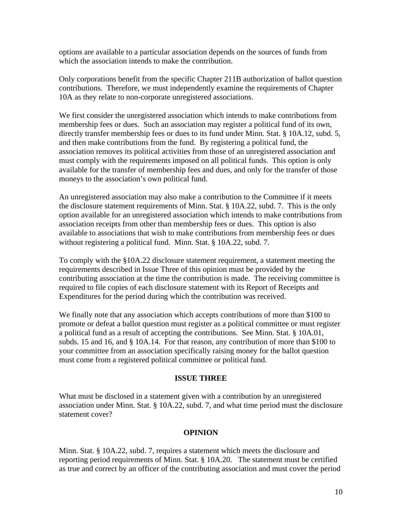options are available to a particular association depends on the sources of funds from which the association intends to make the contribution.

Only corporations benefit from the specific Chapter 211B authorization of ballot question contributions. Therefore, we must independently examine the requirements of Chapter 10A as they relate to non-corporate unregistered associations.

We first consider the unregistered association which intends to make contributions from membership fees or dues. Such an association may register a political fund of its own, directly transfer membership fees or dues to its fund under Minn. Stat. § 10A.12, subd. 5, and then make contributions from the fund. By registering a political fund, the association removes its political activities from those of an unregistered association and must comply with the requirements imposed on all political funds. This option is only available for the transfer of membership fees and dues, and only for the transfer of those moneys to the association's own political fund.

An unregistered association may also make a contribution to the Committee if it meets the disclosure statement requirements of Minn. Stat. § 10A.22, subd. 7. This is the only option available for an unregistered association which intends to make contributions from association receipts from other than membership fees or dues. This option is also available to associations that wish to make contributions from membership fees or dues without registering a political fund. Minn. Stat. § 10A.22, subd. 7.

To comply with the §10A.22 disclosure statement requirement, a statement meeting the requirements described in Issue Three of this opinion must be provided by the contributing association at the time the contribution is made. The receiving committee is required to file copies of each disclosure statement with its Report of Receipts and Expenditures for the period during which the contribution was received.

We finally note that any association which accepts contributions of more than \$100 to promote or defeat a ballot question must register as a political committee or must register a political fund as a result of accepting the contributions. See Minn. Stat. § 10A.01, subds. 15 and 16, and § 10A.14. For that reason, any contribution of more than \$100 to your committee from an association specifically raising money for the ballot question must come from a registered political committee or political fund.

#### **ISSUE THREE**

What must be disclosed in a statement given with a contribution by an unregistered association under Minn. Stat. § 10A.22, subd. 7, and what time period must the disclosure statement cover?

#### **OPINION**

Minn. Stat. § 10A.22, subd. 7, requires a statement which meets the disclosure and reporting period requirements of Minn. Stat. § 10A.20. The statement must be certified as true and correct by an officer of the contributing association and must cover the period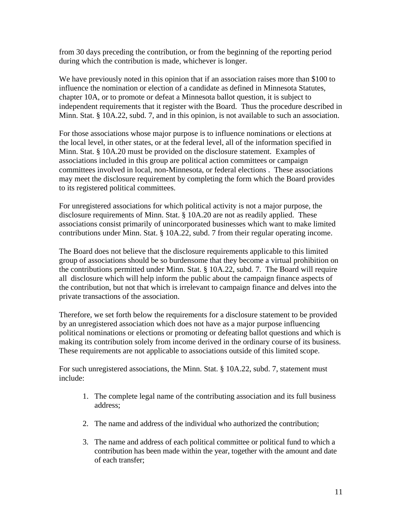from 30 days preceding the contribution, or from the beginning of the reporting period during which the contribution is made, whichever is longer.

We have previously noted in this opinion that if an association raises more than \$100 to influence the nomination or election of a candidate as defined in Minnesota Statutes, chapter 10A, or to promote or defeat a Minnesota ballot question, it is subject to independent requirements that it register with the Board. Thus the procedure described in Minn. Stat. § 10A.22, subd. 7, and in this opinion, is not available to such an association.

For those associations whose major purpose is to influence nominations or elections at the local level, in other states, or at the federal level, all of the information specified in Minn. Stat. § 10A.20 must be provided on the disclosure statement. Examples of associations included in this group are political action committees or campaign committees involved in local, non-Minnesota, or federal elections . These associations may meet the disclosure requirement by completing the form which the Board provides to its registered political committees.

For unregistered associations for which political activity is not a major purpose, the disclosure requirements of Minn. Stat. § 10A.20 are not as readily applied. These associations consist primarily of unincorporated businesses which want to make limited contributions under Minn. Stat. § 10A.22, subd. 7 from their regular operating income.

The Board does not believe that the disclosure requirements applicable to this limited group of associations should be so burdensome that they become a virtual prohibition on the contributions permitted under Minn. Stat. § 10A.22, subd. 7. The Board will require all disclosure which will help inform the public about the campaign finance aspects of the contribution, but not that which is irrelevant to campaign finance and delves into the private transactions of the association.

Therefore, we set forth below the requirements for a disclosure statement to be provided by an unregistered association which does not have as a major purpose influencing political nominations or elections or promoting or defeating ballot questions and which is making its contribution solely from income derived in the ordinary course of its business. These requirements are not applicable to associations outside of this limited scope.

For such unregistered associations, the Minn. Stat. § 10A.22, subd. 7, statement must include:

- 1. The complete legal name of the contributing association and its full business address;
- 2. The name and address of the individual who authorized the contribution;
- 3. The name and address of each political committee or political fund to which a contribution has been made within the year, together with the amount and date of each transfer;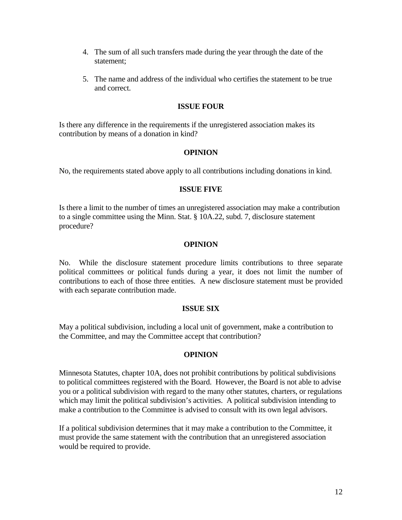- 4. The sum of all such transfers made during the year through the date of the statement;
- 5. The name and address of the individual who certifies the statement to be true and correct.

## **ISSUE FOUR**

Is there any difference in the requirements if the unregistered association makes its contribution by means of a donation in kind?

## **OPINION**

No, the requirements stated above apply to all contributions including donations in kind.

### **ISSUE FIVE**

Is there a limit to the number of times an unregistered association may make a contribution to a single committee using the Minn. Stat. § 10A.22, subd. 7, disclosure statement procedure?

## **OPINION**

No. While the disclosure statement procedure limits contributions to three separate political committees or political funds during a year, it does not limit the number of contributions to each of those three entities. A new disclosure statement must be provided with each separate contribution made.

## **ISSUE SIX**

May a political subdivision, including a local unit of government, make a contribution to the Committee, and may the Committee accept that contribution?

## **OPINION**

Minnesota Statutes, chapter 10A, does not prohibit contributions by political subdivisions to political committees registered with the Board. However, the Board is not able to advise you or a political subdivision with regard to the many other statutes, charters, or regulations which may limit the political subdivision's activities. A political subdivision intending to make a contribution to the Committee is advised to consult with its own legal advisors.

If a political subdivision determines that it may make a contribution to the Committee, it must provide the same statement with the contribution that an unregistered association would be required to provide.